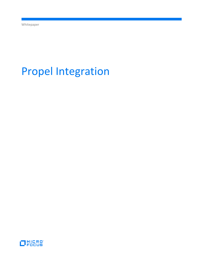# Propel Integration

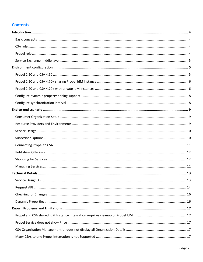# **Contents**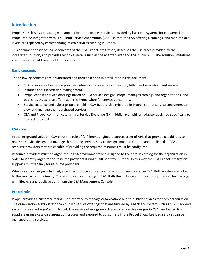# <span id="page-3-0"></span>**Introduction**

Propel is a self-service catalog web application that exposes services provided by back end systems for consumption. Propel can be integrated with HPE Cloud Service Automation (CSA), so that the CSA offerings, catalogs, and marketplace layers are replaced by corresponding micro-services running in Propel.

This document describes basic concepts of the CSA-Propel integration, describes the use cases provided by the integrated solution, and provides technical details such as the adapter layer and CSA public APIs. The solution limitations are documented at the end of this document.

## <span id="page-3-1"></span>**Basic concepts**

The following concepts are enumerated and then described in detail later in this document:

- CSA takes care of resource provider definition, service design creation, fulfillment execution, and service instance and subscription management.
- Propel exposes service offerings based on CSA service designs. Propel manages catalogs and organizations, and publishes the service offerings in the Propel Shop for service consumers.
- Service instance and subscription are held in CSA but are also mirrored in Propel, so that service consumers can view and manage their purchased services.
- CSA and Propel communicate using a Service Exchange (SX) middle layer with an adapter designed specifically to interact with CSA.

# <span id="page-3-2"></span>**CSA role**

In the integrated solution, CSA plays the role of fulfillment engine. It exposes a set of APIs that provide capabilities to realize a service design and manage the running service. Service designs must be created and published in CSA and resource providers that are capable of providing the required resources must be configured.

Resource providers must be organized in CSA environments and assigned to the default catalog for the organization in order to identify organization resource providers during fulfillment from Propel. In this way the CSA-Propel integration supports multitenancy for resource providers.

When a service design is fulfilled, a service instance and service subscription are created in CSA. Both entities are linked to the service design directly. There is no service offering in CSA. Both the instance and the subscription can be managed with lifecycle and public actions from the CSA Management Console.

## <span id="page-3-3"></span>**Propel role**

Propel provides a customer-facing user interface to manage organizations and to publish services for each organization. The organization administrator can publish service offerings that are fulfilled by a back end system such as CSA. Back end systems are called *suppliers* in Propel. The service offerings (which are called service designs in CSA) are loaded from suppliers using a catalog aggregation process and exposed to consumers in the Propel Shop. Realized services can be managed using services.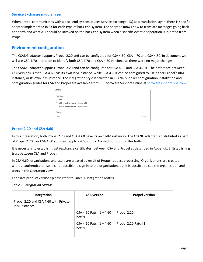## <span id="page-4-0"></span>**Service Exchange middle layer**

When Propel communicates with a back end system, it uses Service Exchange (SX) as a translation layer. There is specific adapter implemented in SX for each type of back end system. The adapter knows how to translate messages going back and forth and what API should be invoked on the back end system when a specific event or operation is initiated from Propel.

# <span id="page-4-1"></span>**Environment configuration**

The CSANG adapter supports Propel 2.20 and can be configured for CSA 4.60, CSA 4.70 and CSA 4.80. In document we will use CSA 4.70+ notation to identify both CSA 4.70 and CSA 4.80 versions, as there were no major changes.

The CSANG adapter supports Propel 2.20 and can be configured for CSA 4.60 and CSA 4.70+. The difference between CSA versions is that CSA 4.60 has its own IdM instance, while CSA 4.70+ can be configured to use either Propel's IdM instance, or its own IdM instance. The integration style is selected in CSANG Supplier configuration.Installation and configuration guides for CSA and Propel are available from HPE Software Support Online at [softwaresupport.hpe.com.](http://softwaresupport.hpe.com/)

| - General -                                             |                                          |
|---------------------------------------------------------|------------------------------------------|
| <b>CSA Version*</b>                                     |                                          |
| 4.60<br>∩                                               |                                          |
| 4.70 or higher version - shared IdM<br>$\circledbullet$ |                                          |
| 4.70 or higher version - private IdM<br>∩               |                                          |
| Currency                                                |                                          |
| <b>USD</b>                                              | $\mathbf{x}$<br>$\overline{\phantom{a}}$ |
|                                                         |                                          |

## <span id="page-4-2"></span>**Propel 2.20 and CSA 4.60**

In this integration, both Propel 2.20 and CSA 4.60 have its own IdM instances. The CSANG adapter is distributed as part of Propel 2.20, For CSA 4.60 you must apply a 4.60-hotfix. Contact support for this hotfix.

It is necessary to establish trust (exchange certificates) between CSA and Propel as described i[n Appendix B: Establishing](#page-21-1)  [trust between CSA and Propel.](#page-21-1)

In CSA 4.60, organizations and users are created as result of Propel request processing. Organizations are created without authenticator, so it is not possible to sign in to the organization, but it is possible to see the organization and users in the Operation view.

For exact product versions please refer to [Table 1. Integration Matrix](#page-4-3)

<span id="page-4-3"></span>*Table 1. Integration Matrix*

| Integration                                            | <b>CSA version</b>                 | <b>Propel version</b> |
|--------------------------------------------------------|------------------------------------|-----------------------|
| Propel 2.20 and CSA 4.60 with Private<br>IdM Instances |                                    |                       |
|                                                        | CSA 4.60 Patch 1 + 4.60-<br>hotfix | Propel 2.20           |
|                                                        | CSA 4.60 Patch 1 + 4.60-<br>hotfix | Propel 2.20 Patch 1   |
|                                                        |                                    |                       |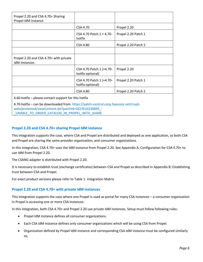| Propel 2.20 and CSA 4.70+ Sharing<br>Propel IdM instance                           |                                              |                     |  |
|------------------------------------------------------------------------------------|----------------------------------------------|---------------------|--|
|                                                                                    | CSA 4.70                                     | Propel 2.20         |  |
|                                                                                    | CSA 4.70 Patch $1 + 4.70$<br>hotfix          | Propel 2.20 Patch 1 |  |
|                                                                                    | CSA 4.80                                     | Propel 2.20 Patch 2 |  |
|                                                                                    |                                              |                     |  |
| Propel 2.20 and CSA 4.70+ with private<br>IdM instances                            |                                              |                     |  |
|                                                                                    | CSA 4.70 Patch 1 (+4.70-<br>hotfix optional) | Propel 2.20         |  |
|                                                                                    | CSA 4.70 Patch 1 (+4.70-<br>hotfix optional) | Propel 2.20 Patch 1 |  |
|                                                                                    | <b>CSA 4.80</b>                              | Propel 2.20 Patch 2 |  |
| 4.60-hotfix – please contact support for this hotfix                               |                                              |                     |  |
| 4.70-hotfix - can be downloaded from https://patch-central.corp.hpecorp.net/crypt- |                                              |                     |  |

[web/protected/viewContent.do?patchId=QCCR1D230895\\_-](https://patch-central.corp.hpecorp.net/crypt-web/protected/viewContent.do?patchId=QCCR1D230895_-_UNABLE_TO_ORDER_CATALOG_IN_PROPEL_WITH_SHARE) UNABLE\_TO\_ORDER\_CATALOG\_IN\_PROPEL\_WITH\_SHARE

# <span id="page-5-0"></span>**Propel 2.20 and CSA 4.70+ sharing Propel IdM instance**

This integration supports the case, where CSA and Propel are distributed and deployed as one application, so both CSA and Propel are sharing the same provider organization, and consumer organizations.

In this integration, CSA 4.70+ uses the IdM instance from Propel 2.20. See [Appendix A: Configuration for CSA 4.70+](#page-16-7) to [use IdM from](#page-16-7) Propel 2.20.

The CSANG adapter is distributed with Propel 2.20.

It is necessary to establish trust (exchange certificates) between CSA and Propel as described i[n Appendix B: Establishing](#page-21-1)  [trust between CSA and Propel.](#page-21-1)

For exact product versions please refer to [Table 1. Integration Matrix](#page-4-3)

## <span id="page-5-1"></span>**Propel 2.20 and CSA 4.70+ with private IdM instances**

This integration supports the case where one Propel is used as portal for many CSA instances – a consumer organization in Propel is accessing one or more CSA instances.

In this integration, both CSA 4.70+ and Propel 2.20 use private IdM instances. Setup must follow following rules:

- Propel IdM instance defines all consumer organizations.
- Each CSA IdM instance defines only consumer organizations which will be using CSA from Propel.
- Organization defined by Propel IdM instance and corresponding CSA IdM instance must be configured similarly so,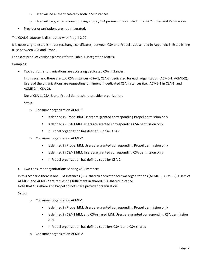- o User will be authenticated by both IdM instances.
- o User will be granted corresponding Propel/CSA permissions as listed in [Table 2. Roles and Permissions.](#page-8-3)
- Provider organizations are not integrated.

The CSANG adapter is distributed with Propel 2.20.

It is necessary to establish trust (exchange certificates) between CSA and Propel as described i[n Appendix B: Establishing](#page-21-1)  [trust between CSA and Propel.](#page-21-1)

For exact product versions please refer to [Table 1. Integration Matrix.](#page-4-3)

Examples:

Two consumer organizations are accessing dedicated CSA instances

In this scenario there are two CSA instances (CSA-1, CSA-2) dedicated for each organization (ACME-1, ACME-2). Users of the organizations are requesting fulfillment in dedicated CSA instances (i.e., ACME-1 in CSA-1, and ACME-2 in CSA-2).

**Note**: CSA-1, CSA-2, and Propel do not share provider organization.

## **Setup:**

- o Consumer organization ACME-1
	- Is defined in Propel IdM. Users are granted corresponding Propel permission only
	- Is defined in CSA-1 IdM. Users are granted corresponding CSA permission only
	- **IF In Propel organization has defined supplier CSA-1**
- o Consumer organization ACME-2
	- **IS defined in Propel IdM. Users are granted corresponding Propel permission only**
	- **IS defined in CSA-2 IdM. Users are granted corresponding CSA permission only**
	- **IF In Propel organization has defined supplier CSA-2**
- Two consumer organizations sharing CSA instances

In this scenario there is one CSA instances (CSA-shared) dedicated for two organizations (ACME-1, ACME-2). Users of ACME-1 and ACME-2 are requesting fulfillment in shared CSA-shared instance. Note that CSA-share and Propel do not share provider organization.

## **Setup:**

- o Consumer organization ACME-1
	- **IS defined in Propel IdM. Users are granted corresponding Propel permission only**
	- **IS defined in CSA-1 IdM, and CSA-shared IdM. Users are granted corresponding CSA permission** only
	- In Propel organization has defined suppliers CSA-1 and CSA-shared
- o Consumer organization ACME-2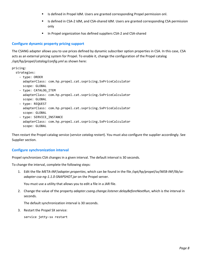- **IS defined in Propel IdM. Users are granted corresponding Propel permission onl.**
- **IS defined in CSA-2 IdM, and CSA-shared IdM. Users are granted corresponding CSA permission** only
- **IF** In Propel organization has defined suppliers CSA-2 and CSA-shared

## <span id="page-7-0"></span>**Configure dynamic property pricing support**

The CSANG adapter allows you to use prices defined by dynamic subscriber option properties in CSA. In this case, CSA acts as an external pricing system for Propel. To enable it, change the configuration of the Propel catalog */opt/hp/propel/catalog/config.yml* as shown here:

pricing:

strategies:

- type: ORDER adapterClass: com.hp.propel.cat.sxpricing.SxPriceCalculator scope: GLOBAL - type: CATALOG\_ITEM
- adapterClass: com.hp.propel.cat.sxpricing.SxPriceCalculator scope: GLOBAL
- type: REQUEST adapterClass: com.hp.propel.cat.sxpricing.SxPriceCalculator scope: GLOBAL
- type: SERVICE INSTANCE adapterClass: com.hp.propel.cat.sxpricing.SxPriceCalculator scope: GLOBAL

Then restart the Propel catalog service (*service catalog restart*). You must also configure the supplier accordingly. See [Supplier](#page-10-1) section.

## <span id="page-7-1"></span>**Configure synchronization interval**

Propel synchronizes CSA changes in a given interval. The default interval is 30 seconds.

To change the interval, complete the following steps:

1. Edit the file *META-INF*/*adapter.properties*, which can be found in the file */opt/hp/propel/sx/WEB-INF/lib/sxadapter-csa-ng-1.1.0-SNAPSHOT.jar* on the Propel server.

You must use a utility that allows you to edit a file in a JAR file.

2. Change the value of the property *adapter.csang.change.listener.delayBeforeNextRun*, which is the interval in seconds.

The default synchronization interval is 30 seconds.

3. Restart the Propel SX service:

service jetty-sx restart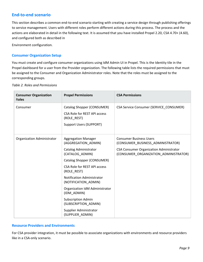# <span id="page-8-0"></span>**End-to-end scenario**

This section describes a common end-to-end scenario starting with creating a service design through publishing offerings to service management. Users with different roles perform different actions during this process. The process and the actions are elaborated in detail in the following text. It is assumed that you have installed Propel 2.20, CSA 4.70+ (4.60), and configured both as described in

[Environment configuration](#page-4-1)*.*

# <span id="page-8-1"></span>**Consumer Organization Setup**

You must create and configure consumer organizations using IdM Admin UI in Propel. This is the Identity tile in the Propel dashboard for a user from the Provider organization. The following table lists the required permissions that must be assigned to the Consumer and Organization Administrator roles. Note that the roles must be assigned to the corresponding groups.

| <b>Consumer Organization</b><br><b>Roles</b> | <b>Propel Permissions</b>                                                                                   | <b>CSA Permissions</b>                                                           |
|----------------------------------------------|-------------------------------------------------------------------------------------------------------------|----------------------------------------------------------------------------------|
| Consumer                                     | Catalog Shopper (CONSUMER)<br>CSA Role for REST API access<br>(ROLE REST)<br><b>Support Users (SUPPORT)</b> | CSA Service Consumer (SERVICE CONSUMER)                                          |
| Organization Administrator                   | <b>Aggregation Manager</b><br>(AGGREGATION ADMIN)                                                           | <b>Consumer Business Users</b><br>(CONSUMER BUSINESS ADMINISTRATOR)              |
|                                              | Catalog Administrator<br>(CATALOG ADMIN)                                                                    | CSA Consumer Organization Administrator<br>(CONSUMER_ORGANIZATION_ADMINISTRATOR) |
|                                              | Catalog Shopper (CONSUMER)                                                                                  |                                                                                  |
|                                              | CSA Role for REST API access<br>(ROLE REST)                                                                 |                                                                                  |
|                                              | Notification Administrator<br>(NOTIFICATION_ADMIN)                                                          |                                                                                  |
|                                              | Organization IdM Administrator<br>(IDM ADMIN)                                                               |                                                                                  |
|                                              | <b>Subscription Admin</b><br>(SUBSCRIPTION_ADMIN)                                                           |                                                                                  |
|                                              | Supplier Administrator<br>(SUPPLIER_ADMIN)                                                                  |                                                                                  |

<span id="page-8-3"></span>*Table 2. Roles and Permissions*

# <span id="page-8-2"></span>**Resource Providers and Environments**

For CSA provider integration, it must be possible to associate organizations with environments and resource providers like in a CSA-only scenario.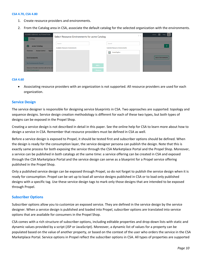#### **CSA 4.70, CSA 4.80**

- 1. Create resource providers and environments.
- 2. From the Catalog area in CSA, associate the default catalog for the selected organization with the environments.

| <b>CLOUD SERVICE AUTOMATION</b><br>Catalogs                                                         | Select Resource Environments for acme Catalog    |                                                 | $2 \times$ | $admin$ $\frac{111}{111}$<br>Help |
|-----------------------------------------------------------------------------------------------------|--------------------------------------------------|-------------------------------------------------|------------|-----------------------------------|
| acme Catalog<br>l Ca                                                                                | Search<br><b>Available Resource Environments</b> | Search<br><b>Selected Resource Environments</b> |            | ♦                                 |
| Overview<br><b>Access Control</b><br><b>Approv</b><br><b>Environments</b>                           |                                                  | 回<br>AcmeOrgEnv                                 |            | <b>Select Environments</b>        |
| No Environments Found<br>Resource Provider selection will not be rest<br><b>Select Environments</b> |                                                  | Add ><br>< Remove                               |            |                                   |

#### **CSA 4.60**

 Associating resource providers with an organization is not supported. All resource providers are used for each organization.

#### <span id="page-9-0"></span>**Service Design**

The service designer is responsible for designing service blueprints in CSA. Two approaches are supported: topology and sequence designs. Service design creation methodology is different for each of these two types, but both types of designs can be exposed in the Propel Shop.

Creating a service design is not described in detail in this paper. See the online help for CSA to learn more about how to design a service in CSA. Remember that resource providers must be defined in CSA as well.

Before a service design is exposed to Propel, it should be tested first and subscriber options should be defined. When the design is ready for the consumption layer, the service designer persona can publish the design. Note that this is exactly same process for both exposing the service through the CSA Marketplace Portal and the Propel Shop. Moreover, a service can be published in both catalogs at the same time: a service offering can be created in CSA and exposed through the CSA Marketplace Portal and the service design can serve as a blueprint for a Propel service offering published in the Propel Shop.

Only a published service design can be exposed through Propel, so do not forget to publish the service design when it is ready for consumption. Propel can be set up to load all service designs published in CSA or to load only published designs with a specific tag. Use these service design tags to mark only those designs that are intended to be exposed through Propel.

#### <span id="page-9-1"></span>**Subscriber Options**

Subscriber options allow you to customize an exposed service. They are defined in the service design by the service designer. When a service design is published and loaded into Propel, subscriber options are translated into service options that are available for consumers in the Propel Shop.

CSA comes with a rich structure of subscriber options, including editable properties and drop-down lists with static and dynamic values provided by a script (JSP or JavaScript). Moreover, a dynamic list of values for a property can be populated based on the value of another property, or based on the context of the user who orders the service in the CSA Marketplace Portal. Service options in Propel reflect the subscriber options in CSA. All types of properties are supported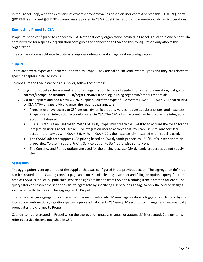in the Propel Shop, with the exception of dynamic property values based on user context Server side ([TOKEN:), portal ([PORTAL:) and client ([CLIENT:) tokens are supported in CSA-Propel integration for parameters of dynamic operations.

# <span id="page-10-0"></span>**Connecting Propel to CSA**

Propel must be configured to connect to CSA. Note that every organization defined in Propel is a stand-alone tenant. The administrator for a specific organization configures the connection to CSA and this configuration only affects this organization.

The configuration is split into two steps: a supplier definition and an aggregation configuration.

## <span id="page-10-1"></span>**Supplier**

There are several types of suppliers supported by Propel. They are called Backend System Types and they are related to specific adapters installed into SX.

To configure the CSA instance as a supplier, follow these steps:

- 1. Log in to Propel as the administrator of an organization. In case of seeded Consumer organization, just go to **https://<propel-hostname>:9000/org/CONSUMER** and log in using orgadmin/propel credentials.
- 2. Go to Suppliers and add a new CSANG supplier. Select the type of CSA system (CSA 4.60,CSA 4.70+ shared IdM, or CSA 4.70+ private IdM) and enter the required parameters.
	- Propel must have access to CSA designs, dynamic property values, requests, subscriptions, and instances. Propel uses an integration account created in CSA. The CSA admin account can be used as the integration account, if desired.
	- CSA APIs require an IDM token. With CSA 4.60, Propel must reach the CSA IDM to acquire the token for the integration user. Propel uses an IDM integration user to achieve that. You can use idmTransportUser account that comes with CSA 4.6 IDM. With CSA 4.70+, the instance IdM installed with Propel is used.
	- The CSANG adapter supports CSA pricing based on CSA dynamic properties (JSP/JS) of subscriber option properties. To use it, set the Pricing Service option to **Self**, otherwise set to **None**.
	- The Currency and Period options are used for the pricing because CSA dynamic properties do not supply them.

## **Aggregation**

The aggregation is set up on top of the supplier that was configured in the previous section. The aggregation definition can be created on the Catalog Connect page and consists of selecting a supplier and filling an optional query filter. In case of CSANG supplier, all published service designs are loaded from CSA and a catalog item is created for each. The query filter can restrict the set of designs to aggregate by specifying a service design tag, so only the service designs associated with that tag will be aggregated to Propel.

The service design aggregation can be either manual or automatic. Manual aggregation is triggered on demand by user interaction. Automatic aggregation spawns a process that checks CSA every 30 seconds for changes and automatically propagates the changes to Propel.

Catalog items are created in Propel when the aggregation process (manual or automatic) is executed. Catalog items refer to service designs published in CSA.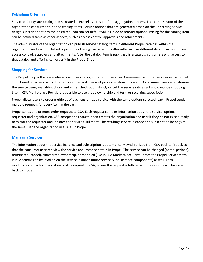# <span id="page-11-0"></span>**Publishing Offerings**

Service offerings are catalog items created in Propel as a result of the aggregation process. The administrator of the organization can further tune the catalog items. Service options that are generated based on the underlying service design subscriber options can be edited. You can set default values, hide or reorder options. Pricing for the catalog item can be defined same as other aspects, such as access control, approvals and attachments.

The administrator of the organization can publish service catalog items in different Propel catalogs within the organization and each published copy of the offering can be set up differently, such as different default values, pricing, access control, approvals and attachments. After the catalog item is published in a catalog, consumers with access to that catalog and offering can order it in the Propel Shop.

## <span id="page-11-1"></span>**Shopping for Services**

The Propel Shop is the place where consumer users go to shop for services. Consumers can order services in the Propel Shop based on access rights. The service order and checkout process is straightforward. A consumer user can customize the service using available options and either check out instantly or put the service into a cart and continue shopping. Like in CSA Marketplace Portal, it is possible to use group ownership and term or recurring subscription.

Propel allows users to order multiples of each customized service with the same options selected (cart). Propel sends multiple requests for every item in the cart.

Propel sends one or more order requests to CSA. Each request contains information about the service, options, requester and organization. CSA accepts the request, then creates the organization and user if they do not exist already to mirror the requester and initiates the service fulfillment. The resulting service instance and subscription belongs to the same user and organization in CSA as in Propel.

## <span id="page-11-2"></span>**Managing Services**

The information about the service instance and subscription is automatically synchronized from CSA back to Propel, so that the consumer user can view the service and instance details in Propel. The service can be changed (name, periods), terminated (cancel), transferred ownership, or modified (like in CSA Marketplace Portal) from the Propel Service view. Public actions can be invoked on the service instance (more precisely, on instance components) as well. Each modification or action invocation posts a request to CSA, where the request is fulfilled and the result is synchronized back to Propel.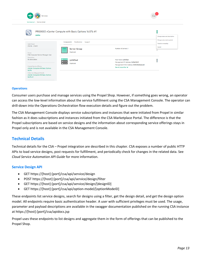| services                                                                                                                                                                                                                            |                                                                                                                                                      |                                                           |
|-------------------------------------------------------------------------------------------------------------------------------------------------------------------------------------------------------------------------------------|------------------------------------------------------------------------------------------------------------------------------------------------------|-----------------------------------------------------------|
| Services List / Service Detail                                                                                                                                                                                                      |                                                                                                                                                      |                                                           |
| PR00003 vCenter Compute with Basic Options 16.07b #1<br><b>Active</b><br>Components<br>Modification<br>Support                                                                                                                      |                                                                                                                                                      | Change name and description<br>Change subscription period |
| <b>Valid Period</b><br>7/14/16 - 7/15/17<br><b>Server Group</b><br>Deployed<br>Owner<br>CSA Consumer Service Manager User                                                                                                           | Number of Servers: 1                                                                                                                                 | Transfer ownership<br>Cancel<br>m                         |
| Description<br>No description<br>rp16f3ad<br><b>Deployed</b><br><b>Original Service Offering</b><br>vCenter Compute with Basic Options<br>16.07b<br>Order Item (Request) Details<br>vCenter Compute with Basic Options<br>16.07b #1 | Host Name: rp16f3ad<br>Management IP Address: 16.156.132.91<br>Management MAC Address: 00:50:56:8e:6d:d0<br>See all properties $\blacktriangleright$ | i                                                         |

#### **Operations**

Consumer users purchase and manage services using the Propel Shop. However, if something goes wrong, an operator can access the low-level information about the service fulfillment using the CSA Management Console. The operator can drill-down into the Operations Orchestration flow execution details and figure out the problem.

The CSA Management Console displays service subscriptions and instances that were initiated from Propel in similar fashion as it does subscriptions and instances initiated from the CSA Marketplace Portal. The difference is that the Propel subscriptions are based on service designs and the information about corresponding service offerings stays in Propel only and is not available in the CSA Management Console.

# <span id="page-12-0"></span>**Technical Details**

Technical details for the CSA – Propel integration are described in this chapter. CSA exposes a number of public HTTP APIs to load service designs, post requests for fulfillment, and periodically check for changes in the related data. See *Cloud Service Automation API Guide* for more information.

## <span id="page-12-1"></span>**Service Design API**

- GET https://[host]:[port]/csa/api/service/design
- POST https://[host]:[port]/csa/api/service/design/filter
- GET https://[host]:[port]/csa/api/service/design/[designID]
- GET https://[host]:[port]/csa/api/option-model/[optionModeID]

These endpoints list service designs, search for designs using a filter, get the design detail, and get the design option model. All endpoints require basic authentication header. A user with sufficient privileges must be used. The usage, parameter and payload descriptions are available in the swagger documentation published on the running CSA instance at https://[host]:[port]/csa/apidocs.jsp

Propel uses these endpoints to list designs and aggregate them in the form of offerings that can be published to the Propel Shop.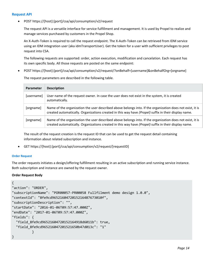## <span id="page-13-0"></span>**Request API**

POST https://[host]:[port]/csa/api/consumption/v2/request

The request API is a versatile interface for service fulfillment and management. It is used by Propel to realize and manage services purchased by customers in the Propel Shop.

An X-Auth-Token is required to call the request endpoint. The X-Auth-Token can be retrieved from IDM service using an IDM integration user (aka idmTransportUser). Get the token for a user with sufficient privileges to post request into CSA.

The following requests are supported: order, action execution, modification and cancelation. Each request has its own specific body. All those requests are posted on the same endpoint:

POST https://[host]:[port]/csa/api/consumption/v2/request/?onBehalf=[username]&onBehalfOrg=[orgname]

The request parameters are described in the following table.

| <b>Parameter</b> | <b>Description</b>                                                                                                                                                                                                |
|------------------|-------------------------------------------------------------------------------------------------------------------------------------------------------------------------------------------------------------------|
| [username]       | User name of the request owner. In case the user does not exist in the system, it is created<br>automatically.                                                                                                    |
| [orgname]        | Name of the organization the user described above belongs into. If the organization does not exist, it is<br>created automatically. Organizations created in this way have (Propel) suffix in their display name. |
| [orgname]        | Name of the organization the user described above belongs into. If the organization does not exist, it is<br>created automatically. Organizations created in this way have (Propel) suffix in their display name. |

The result of the request creation is the request ID that can be used to get the request detail containing information about related subscription and instance.

GET https://[host]:[port]/csa/api/consumption/v2/request/[requestID]

## **Order Request**

The order requests initiates a design/offering fulfillment resulting in an active subscription and running service instance. Both subscription and instance are owned by the request owner.

## **Order Request Body**

```
{
"action": "ORDER",
"subscriptionName": "POR00057-PR00058 Fullfilment demo design 1.0.0",
"contextId": "8fe9cd9652160472015216487673010f",
"subscriptionDescription": "",
"startDate": "2016-01-06T09:57:47.000Z",
"endDate": "2017-01-06T09:57:47.000Z",
"fields": {
   "field_8fe9cd96521604720152164918d6011b": true,
   "field_8fe9cd965216047201521650b47d013c": "1"
 }
}
```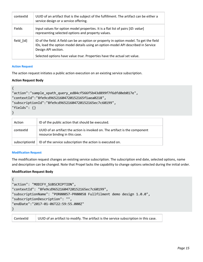| contextid     | UUID of an artifact that is the subject of the fulfillment. The artifact can be either a<br>service design or a service offering.                                                                   |
|---------------|-----------------------------------------------------------------------------------------------------------------------------------------------------------------------------------------------------|
| <b>Fields</b> | Input values for option model properties. It is a flat list of pairs [ID: value]<br>representing selected options and property values.                                                              |
| field [id]    | ID of the field. A field can be an option or property in option model. To get the field<br>IDs, load the option model details using an option-model API described in Service<br>Design API section. |
|               | Selected options have value true. Properties have the actual set value.                                                                                                                             |

## **Action Request**

The action request initiates a public action execution on an existing service subscription.

## **Action Request Body**

```
{
"action":"sample xpath query ed84cf566f5b43d899f7f6dfd0eb017e",
"contextId":"8fe9cd96521604720152165f1aea0218",
"subscriptionId":"8fe9cd96521604720152165ec7c60199",
"fields": {}
}
```

```
Action ID of the public action that should be executed.
contextId UUID of an artifact the action is invoked on. The artifact is the component 
                 resource binding in this case.
subscriptionId \parallel ID of the service subscription the action is executed on.
```
#### **Modification Request**

The modification request changes an existing service subscription. The subscription end date, selected options, name and description can be changed. Note that Propel lacks the capability to change options selected during the initial order.

## **Modification Request Body**

```
{
"action": "MODIFY_SUBSCRIPTION",
"contextId": "8fe9cd96521604720152165ec7c60199",
"subscriptionName": "POR00057-PR00058 Fullfilment demo design 1.0.0",
"subscriptionDescription": "",
"endDate":"2017-01-06T22:59:55.000Z"
}
```
ContextId UUID of an artifact to modify. The artifact is the service subscription in this case.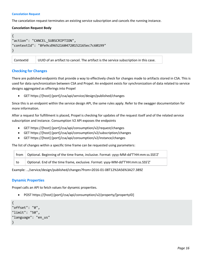#### **Cancelation Request**

The cancelation request terminates an existing service subscription and cancels the running instance.

## **Cancelation Request Body**

```
{
"action": "CANCEL_SUBSCRIPTION",
"contextId": "8fe9cd96521604720152165ec7c60199"
}
```
ContextId UUID of an artifact to cancel. The artifact is the service subscription in this case.

## <span id="page-15-0"></span>**Checking for Changes**

There are published endpoints that provide a way to effectively check for changes made to artifacts stored in CSA. This is used for data synchronization between CSA and Propel. An endpoint exists for synchronization of data related to service designs aggregated as offerings into Propel

GET https://[host]:[port]/csa/api/service/design/published/changes

Since this is an endpoint within the service design API, the same rules apply. Refer to the swagger documentation for more information.

After a request for fulfillment is placed, Propel is checking for updates of the request itself and of the related service subscription and instance. Consumption V2 API exposes the endpoints

- GET https://[host]:[port]/csa/api/consumption/v2/request/changes
- GET https://[host]:[port]/csa/api/consumption/v2/subscription/changes
- GET https://[host]:[port]/csa/api/consumption/v2/instance/changes

The list of changes within a specific time frame can be requested using parameters:

from | Optional. Beginning of the time frame, inclusive. Format: yyyy-MM-dd'T'HH:mm:ss.SSS'Z' to Optional. End of the time frame, exclusive. Format: yyyy-MM-dd'T'HH:mm:ss.SSS'Z'

Example: …/service/design/published/changes?from=2016-01-08T12%3A56%3A27.389Z

## <span id="page-15-1"></span>**Dynamic Properties**

Propel calls an API to fetch values for dynamic properties.

POST https://[host]:[port]/csa/api/consumption/v2/property/[propertyID]

```
{
"offset": "0",
"limit": "50",
"language": "en_us"
}
```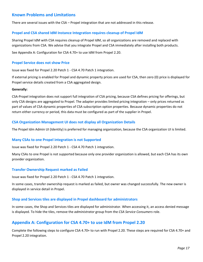# <span id="page-16-0"></span>**Known Problems and Limitations**

There are several issues with the CSA – Propel integration that are not addressed in this release.

## <span id="page-16-1"></span>**Propel and CSA shared IdM Instance Integration requires cleanup of Propel IdM**

Sharing Propel IdM with CSA requires cleanup of Propel IdM, so all organizations are removed and replaced with organizations from CSA. We advise that you integrate Propel and CSA immediately after installing both products.

See [Appendix A: Configuration for CSA 4.70+](#page-16-7) to use IdM from Propel 2.20.

#### <span id="page-16-2"></span>**Propel Service does not show Price**

Issue was fixed for Propel 2.20 Patch 1 - CSA 4.70 Patch 1 integration.

If external pricing is enabled for Propel and dynamic property prices are used for CSA, then zero (0) price is displayed for Propel service details created from a CSA aggregated design.

#### **Generally:**

CSA-Propel integration does not support full integration of CSA pricing, because CSA defines pricing for offerings, but only CSA designs are aggregated to Propel. The adapter provides limited pricing integration – only prices returned as part of values of CSA dynamic properties of CSA subscription option properties. Because dynamic properties do not return either currency or period, this data must be configured as part of the supplier in Propel.

## <span id="page-16-3"></span>**CSA Organization Management UI does not display all Organization Details**

The Propel Idm Admin UI (Identity) is preferred for managing organization, because the CSA organization UI is limited.

#### <span id="page-16-4"></span>**Many CSAs to one Propel integration is not Supported**

Issue was fixed for Propel 2.20 Patch 1 - CSA 4.70 Patch 1 integration.

Many CSAs to one Propel is not supported because only one provider organization is allowed, but each CSA has its own provider organization.

#### <span id="page-16-5"></span>**Transfer Ownership Request marked as Failed**

Issue was fixed for Propel 2.20 Patch 1 - CSA 4.70 Patch 1 integration.

In some cases, transfer ownership request is marked as failed, but owner was changed successfully. The new owner is displayed in service detail in Propel.

## <span id="page-16-6"></span>**Shop and Services tiles are displayed in Propel dashboard for administrators**

In some cases, the Shop and Services tiles are displayed for administrator. When accessing it, an access denied message is displayed. To hide the tiles, remove the *administrator* group from the *CSA Service Consumers* role.

# <span id="page-16-7"></span>**Appendix A: Configuration for CSA 4.70+ to use IdM from Propel 2.20**

Complete the following steps to configure CSA 4.70+ to run with Propel 2.20. These steps are required for CSA 4.70+ and Propel 2.20 integration.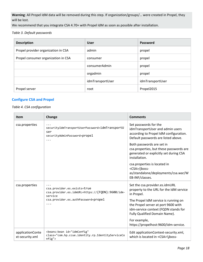**Warning**: All Propel IdM data will be removed during this step. If organization/groups/… were created in Propel, they will be lost.

We recommend that you integrate CSA 4.70+ with Propel IdM as soon as possible after installation.

*Table 3. Default passwords*

| <b>Description</b>                  | <b>User</b>      | Password         |
|-------------------------------------|------------------|------------------|
| Propel provider organization in CSA | admin            | propel           |
| Propel consumer organization in CSA | consumer         | propel           |
|                                     | consumerAdmin    | propel           |
|                                     | orgadmin         | propel           |
|                                     | idmTransportUser | idmTransportUser |
| Propel server                       | root             | Propel2015       |

# <span id="page-17-0"></span>**Configure CSA and Propel**

#### *Table 4. CSA configuration*

| <b>Item</b>                         | Change                                                                                                                                     | <b>Comments</b>                                                                                                                                                                                                                                                 |
|-------------------------------------|--------------------------------------------------------------------------------------------------------------------------------------------|-----------------------------------------------------------------------------------------------------------------------------------------------------------------------------------------------------------------------------------------------------------------|
| csa.properties                      | .<br>securityIdmTransportUserPassword=idmTransportU<br>ser<br>securityAdminPassword=propel<br>$\cdots$                                     | Set passwords for the<br>idmTransportUser and admin users<br>according to Propel IdM configuration.<br>Default passwords are listed above.                                                                                                                      |
|                                     |                                                                                                                                            | Both passwords are set in<br>csa.properties, but these passwords are<br>generated or explicitly set during CSA<br>installation.                                                                                                                                 |
|                                     |                                                                                                                                            | csa.properties is located in<br><csa>/jboss-<br/>as/standalone/deployments/csa.war/W<br/>EB-INF/classes.</csa>                                                                                                                                                  |
| csa.properties                      | .<br>csa.provider.es.exists=true<br>csa.provider.es.idmURL=https://{FQDN}:9600/idm-<br>service<br>csa.provider.es.authPassword=propel<br>. | Set the csa.provider.es.idmURL<br>property to the URL for the IdM service<br>in Propel.<br>The Propel IdM service is running on<br>the Propel server at port 9600 with<br>idm-service context (FQDN stands for<br>Fully Qualified Domain Name).<br>For example, |
|                                     |                                                                                                                                            | https://propelhost:9600/idm-service.                                                                                                                                                                                                                            |
| applicationConte<br>xt-security.xml | <beans:bean <br="" id="idmConfig">class="com.hp.ccue.identity.rp.IdentityServiceCo<br/>nfig"</beans:bean>                                  | Edit applicationContext-security.xml,<br>which is located in <csa>\jboss-</csa>                                                                                                                                                                                 |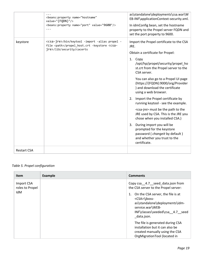|                    | <beans: <br="" name="hostname" property="">value="{FQDN}"/&gt;<br/><beans: name="port" property="" value="9600"></beans:><br/><math>\cdots</math></beans:> | as\standalone\deployments\csa.war\W<br>EB-INF\applicationContext-security.xml.<br>In idmConfig bean, set the hostname<br>property to the Propel server FQDN and<br>set the port property to 9600.                                                                                                                                                                                                                                                                                                                                                                                                                                                                                                    |
|--------------------|------------------------------------------------------------------------------------------------------------------------------------------------------------|------------------------------------------------------------------------------------------------------------------------------------------------------------------------------------------------------------------------------------------------------------------------------------------------------------------------------------------------------------------------------------------------------------------------------------------------------------------------------------------------------------------------------------------------------------------------------------------------------------------------------------------------------------------------------------------------------|
| keystore           | <csa-jre>/bin/keytool -import -alias propel -<br/>file <path>/propel_host.crt -keystore <csa-<br>jre&gt;/lib/security/cacerts</csa-<br></path></csa-jre>   | Import the Propel certificate to the CSA<br>JRE.<br>Obtain a certificate for Propel:<br>1. Copy<br>/opt/hp/propel/security/propel_ho<br>st.crt from the Propel server to the<br>CSA server.<br>You can also go to a Propel UI page<br>(https://{FQDN}:9000/org/Provider<br>) and download the certificate<br>using a web browser.<br>Import the Propel certificate by<br>2.<br>running keytool - see the example.<br><csa-jre> must be the path to the<br/>JRE used by CSA. This is the JRE you<br/>chose when you installed CSA.)<br/>During import you will be<br/>3.<br/>prompted for the keystore<br/>password (changeit by default)<br/>and whether you trust to the<br/>certificate.</csa-jre> |
| <b>Restart CSA</b> |                                                                                                                                                            |                                                                                                                                                                                                                                                                                                                                                                                                                                                                                                                                                                                                                                                                                                      |

# *Table 5. Propel configuration*

| <b>Item</b>                   | <b>Example</b> | <b>Comments</b>                                                                                                                                                          |
|-------------------------------|----------------|--------------------------------------------------------------------------------------------------------------------------------------------------------------------------|
| Import CSA<br>roles to Propel |                | Copy csa __4.7 __ seed_data.json from<br>the CSA server to the Propel server:                                                                                            |
| IdM                           |                | On the CSA server, the file is at<br>1.<br><csa>\jboss-<br/>as\standalone\deployments\idm-<br/>service.war\WEB-<br/>INF\classes\seeded\csa 4.7 seed<br/>data.json.</csa> |
|                               |                | The file is generated during CSA<br>installation but it can also be<br>created manually using the CSA<br>OrgMigrationTool (located in                                    |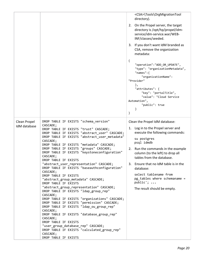|                              |                                                                                                                                                                                                                                                                                                                                                                                                                                                                                                                                                                                                                                                                                                                                                                                                                                                                                                                                                                                                                                                   | <csa>\Tools\OrgMigrationTool<br/>directory).<br/>2. On the Propel server, the target<br/>directory is /opt/hp/propel/idm-<br/>service/idm-service.war/WEB-<br/>INF/classes/seeded.<br/>3. If you don't want IdM branded as<br/>CSA, remove the organization<br/>metadata:<br/><math>\{</math><br/>"operation":"ADD_OR_UPDATE",<br/>"type": "organizationMetadata",<br/>"<math>names</math>":{<br/>"organizationName":<br/>"Provider"<br/>},<br/>"attributes": {<br/>"key": "portalTitle",<br/>"value": "Cloud Service<br/>Automation",<br/>"public": true<br/>}<br/>}</csa> |
|------------------------------|---------------------------------------------------------------------------------------------------------------------------------------------------------------------------------------------------------------------------------------------------------------------------------------------------------------------------------------------------------------------------------------------------------------------------------------------------------------------------------------------------------------------------------------------------------------------------------------------------------------------------------------------------------------------------------------------------------------------------------------------------------------------------------------------------------------------------------------------------------------------------------------------------------------------------------------------------------------------------------------------------------------------------------------------------|-----------------------------------------------------------------------------------------------------------------------------------------------------------------------------------------------------------------------------------------------------------------------------------------------------------------------------------------------------------------------------------------------------------------------------------------------------------------------------------------------------------------------------------------------------------------------------|
| Clean Propel<br>IdM database | DROP TABLE IF EXISTS "schema_version"<br>CASCADE;<br>DROP TABLE IF EXISTS "trust" CASCADE;<br>DROP TABLE IF EXISTS "abstract_user" CASCADE;<br>DROP TABLE IF EXISTS "abstract_user_metadata"<br>CASCADE;<br>DROP TABLE IF EXISTS "metadata" CASCADE;<br>DROP TABLE IF EXISTS "groups" CASCADE;<br>DROP TABLE IF EXISTS "keystoneconfiguration"<br>CASCADE;<br>DROP TABLE IF EXISTS<br>"abstract_user_representation" CASCADE;<br>DROP TABLE IF EXISTS "baseauthconfiguration"<br>CASCADE;<br>DROP TABLE IF EXISTS<br>"abstract_group_metadata" CASCADE;<br>DROP TABLE IF EXISTS<br>"abstract_group_representation" CASCADE;<br>DROP TABLE IF EXISTS "ldap_group_rep"<br>CASCADE;<br>DROP TABLE IF EXISTS "organizations" CASCADE;<br>DROP TABLE IF EXISTS "permission" CASCADE;<br>DROP TABLE IF EXISTS "ldap_ou_group_rep"<br>CASCADE;<br>DROP TABLE IF EXISTS "database_group_rep"<br>CASCADE;<br>DROP TABLE IF EXISTS<br>"user_group_database_rep" CASCADE;<br>DROP TABLE IF EXISTS "calculated_group_rep"<br>CASCADE;<br>DROP TABLE IF EXISTS | Clean the Propel IdM database:<br>1. Log in to the Propel server and<br>execute the following commands:<br>su postgres<br>psql idmdb<br>2. Run the commands in the example<br>column (to the left) to drop all<br>tables from the database.<br>3. Ensure that no IdM table is in the<br>database:<br>select tablename from<br>pg_tables where schemaname =<br>public';<br>The result should be empty.                                                                                                                                                                       |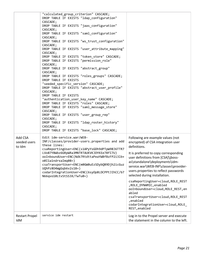| <b>Restart Propel</b><br>IdM      | service idm restart                                                                                                                                                                                                                                                                                                                                                                                                                                                                                                                                                                                                                                                                                                                                                                                                                                                                                                       | codarIntegrationUser=cloud, ROLE_<br>REST, enabled<br>Log in to the Propel server and execute<br>the statement in the column to the left.                                                                                                                                                                                                                                                                                                                                                   |
|-----------------------------------|---------------------------------------------------------------------------------------------------------------------------------------------------------------------------------------------------------------------------------------------------------------------------------------------------------------------------------------------------------------------------------------------------------------------------------------------------------------------------------------------------------------------------------------------------------------------------------------------------------------------------------------------------------------------------------------------------------------------------------------------------------------------------------------------------------------------------------------------------------------------------------------------------------------------------|---------------------------------------------------------------------------------------------------------------------------------------------------------------------------------------------------------------------------------------------------------------------------------------------------------------------------------------------------------------------------------------------------------------------------------------------------------------------------------------------|
| Add CSA<br>seeded users<br>to Idm | Edit idm-service.war/WEB-<br>INF/classes/provider-users.properties and add<br>these lines:<br>csaReportingUser=ENC(s1APyYsGDh9dPTpW9BJ6TTR7<br>LVo87Y8Wbz6GRpWRa3MNTRTAUKVKJDYKEe78fI7U)<br>ooInboundUser=ENC(Ndk7RtdttaPeaYWBfBzFP2i3lb+<br>o0I1a1ndrxaImq08=)<br>csaTransportUser=ENC(m0GW0uEzSDybQB9Djh2icGuz<br>UQhPz804WgGqb6v2s18=)<br>codarIntegrationUser=ENC(6syOp8LDCPPtJIhCC/b7<br>N66qvo10LtvStSS3X/TwTu0=)                                                                                                                                                                                                                                                                                                                                                                                                                                                                                                   | Following are example values (not<br>encrypted) of CSA integration user<br>definitions.<br>It is preferred to copy corresponding<br>user definitions from [CSA]\jboss-<br>as\standalone\deployments\idm-<br>service.war\WEB-INF\classes\provider-<br>users.properties to reflect passwords<br>selected during installation.<br>csaReportingUser=cloud, ROLE REST<br>, ROLE DYNAMIC, enabled<br>ooInboundUser=cloud, ROLE_REST, en<br>abled<br>csaTransportUser=cloud, ROLE REST<br>,enabled |
|                                   | CASCADE;<br>DROP TABLE IF EXISTS "jaas_configuration"<br>CASCADE;<br>DROP TABLE IF EXISTS "saml_configuration"<br>CASCADE;<br>DROP TABLE IF EXISTS "ws_trust_configuration"<br>CASCADE;<br>DROP TABLE IF EXISTS "user_attribute_mapping"<br>CASCADE;<br>DROP TABLE IF EXISTS "token_store" CASCADE;<br>DROP TABLE IF EXISTS "permission_role"<br>CASCADE;<br>DROP TABLE IF EXISTS "abstract_group"<br>CASCADE;<br>DROP TABLE IF EXISTS "roles groups" CASCADE;<br>DROP TABLE IF EXISTS<br>"seeded_specific_version" CASCADE;<br>DROP TABLE IF EXISTS "abstract user profile"<br>CASCADE;<br>DROP TABLE IF EXISTS<br>"authentication user key name" CASCADE;<br>DROP TABLE IF EXISTS "roles" CASCADE;<br>DROP TABLE IF EXISTS "saml_message_store"<br>CASCADE;<br>DROP TABLE IF EXISTS "user_group_rep"<br>CASCADE;<br>DROP TABLE IF EXISTS "ldap_roster_history"<br>CASCADE;<br>DROP TABLE IF EXISTS "base_lock" CASCADE; |                                                                                                                                                                                                                                                                                                                                                                                                                                                                                             |
|                                   | "calculated_group_criterion" CASCADE;<br>DROP TABLE IF EXISTS "ldap_configuration"                                                                                                                                                                                                                                                                                                                                                                                                                                                                                                                                                                                                                                                                                                                                                                                                                                        |                                                                                                                                                                                                                                                                                                                                                                                                                                                                                             |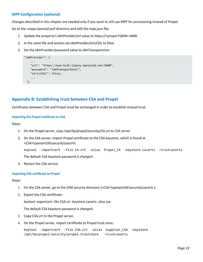# <span id="page-21-0"></span>**MPP Configuration (optional)**

Changes described in this chapter are needed only if you want to still use MPP for provisioning instead of Propel.

Go to the <mpp>/portal/conf directory and edit the mpp.json file:

- 1. Update the property's *idmProvider/url* value to *https://<propel-FQDN>:9600*.
- 2. In the same file and section set *idmProvider/strictSSL* to false.
- 3. Set the idmProvider/password value to *idmTransportUser*.

```
"idmProvider": {
 ...
    "url": "https://pue-hulk-lipovy.hpeswlab.net:9600",
    "password": "idmTransportUser",
    "strictSSL": false,
    ...
  },
```
# <span id="page-21-1"></span>**Appendix B: Establishing trust between CSA and Propel**

Certificates between CSA and Propel must be exchanged in order to establish mutual trust.

#### **Importing the Propel certificate to CSA**

Steps:

- 1. On the Propel server, copy */opt/hp/propel/security/CA.crt* to CSA server
- 2. On the CSA server, import Propel certificate to the CSA keystore, which is found at <*CSA>\openjre\lib\security\cacerts.*

```
keytool -importcert -file CA.crt -alias Propel_CA -keystore cacerts -trustcacerts 
The default CSA keystore password is changeit.
```
3. Restart the CSA service

#### **Importing CSA certificate to Propel**

#### Steps:

- 1. On the CSA server, go to the JVM security directory (<*CSA>\openjre\lib\security\cacerts* ).
- 2. Export the CSA certificate:

keytool -exportcert -file CSA.crt -keystore cacerts -alias csa

The default CSA keystore password is *changeit.*

- 3. Copy CSA.crt to the Propel server.
- 4. On the Propel server, import certificate to Propel trust store:

```
keytool -importcert -file CSA.crt -alias Supplier_CSA -keystore 
/opt/hp/propel/security/propel.truststore -trustcacerts
```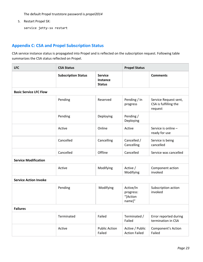The default Propel truststore password is *propel2014*

5. Restart Propel SX:

```
service jetty-sx restart
```
# <span id="page-22-0"></span>**Appendix C: CSA and Propel Subscription Status**

CSA service instance status is propagated into Propel and is reflected on the subscription request. Following table summarizes the CSA status reflected on Propel.

| <b>LFC</b>                    | <b>CSA Status</b>          |                                                    | <b>Propel Status</b>                         |                                                           |
|-------------------------------|----------------------------|----------------------------------------------------|----------------------------------------------|-----------------------------------------------------------|
|                               | <b>Subscription Status</b> | <b>Service</b><br><b>Instance</b><br><b>Status</b> |                                              | <b>Comments</b>                                           |
| <b>Basic Service LFC Flow</b> |                            |                                                    |                                              |                                                           |
|                               | Pending                    | Reserved                                           | Pending / In<br>progress                     | Service Request sent,<br>CSA is fulfilling the<br>request |
|                               | Pending                    | Deploying                                          | Pending /<br>Deploying                       |                                                           |
|                               | Active                     | Online                                             | Active                                       | Service is online -<br>ready for use                      |
|                               | Cancelled                  | Cancelling                                         | Cancelled /<br>Cancelling                    | Service is being<br>cancelled                             |
|                               | Cancelled                  | Offline                                            | Cancelled                                    | Service was cancelled                                     |
| <b>Service Modification</b>   |                            |                                                    |                                              |                                                           |
|                               | Active                     | Modifying                                          | Active /<br>Modifying                        | Component action<br>invoked                               |
| <b>Service Action Invoke</b>  |                            |                                                    |                                              |                                                           |
|                               | Pending                    | Modifying                                          | Active/In<br>progress:<br>"[Action<br>name]" | Subscription action<br>invoked                            |
| <b>Failures</b>               |                            |                                                    |                                              |                                                           |
|                               | Terminated                 | Failed                                             | Terminated /<br>Failed                       | Error reported during<br>termination in CSA               |
|                               | Active                     | <b>Public Action</b><br>Failed                     | Active / Public<br><b>Action Failed</b>      | Component's Action<br>Failed                              |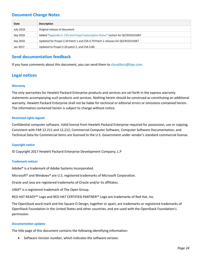# <span id="page-23-0"></span>**Document Change Notes**

| Date      | <b>Description</b>                                                              |
|-----------|---------------------------------------------------------------------------------|
| July 2016 | Original release of document                                                    |
| Sep 2016  | Added "Appendix C: CSA and Propel Subscription Status" section for QCCR1D231067 |
| Sep 2016  | Updated for Propel 2.20 Patch 1 and CSA 4.70 Patch 1 releases for QCCR1D231067  |
| Jan 2017  | Updated to Propel 2.20 patch 2, and CSA 4.80.                                   |

# <span id="page-23-1"></span>**Send documentation feedback**

If you have comments about this document, you can send them to [clouddocs@hpe.com.](mailto:clouddocs@hpe.com)

# <span id="page-23-2"></span>**Legal notices**

#### **Warranty**

The only warranties for Hewlett Packard Enterprise products and services are set forth in the express warranty statements accompanying such products and services. Nothing herein should be construed as constituting an additional warranty. Hewlett Packard Enterprise shall not be liable for technical or editorial errors or omissions contained herein. The information contained herein is subject to change without notice.

#### **Restricted rights legend**

Confidential computer software. Valid license from Hewlett Packard Enterprise required for possession, use or copying. Consistent with FAR 12.211 and 12.212, Commercial Computer Software, Computer Software Documentation, and Technical Data for Commercial Items are licensed to the U.S. Government under vendor's standard commercial license.

#### **Copyright notice**

© Copyright 2017 Hewlett Packard Enterprise Development Company, L.P

#### **Trademark notices**

Adobe® is a trademark of Adobe Systems Incorporated.

Microsoft® and Windows® are U.S. registered trademarks of Microsoft Corporation.

Oracle and Java are registered trademarks of Oracle and/or its affiliates.

UNIX® is a registered trademark of The Open Group.

RED HAT READY™ Logo and RED HAT CERTIFIED PARTNER™ Logo are trademarks of Red Hat, Inc.

The OpenStack word mark and the Square O Design, together or apart, are trademarks or registered trademarks of OpenStack Foundation in the United States and other countries, and are used with the OpenStack Foundation's permission.

#### **Documentation updates**

The title page of this document contains the following identifying information:

Software Version number, which indicates the software version.